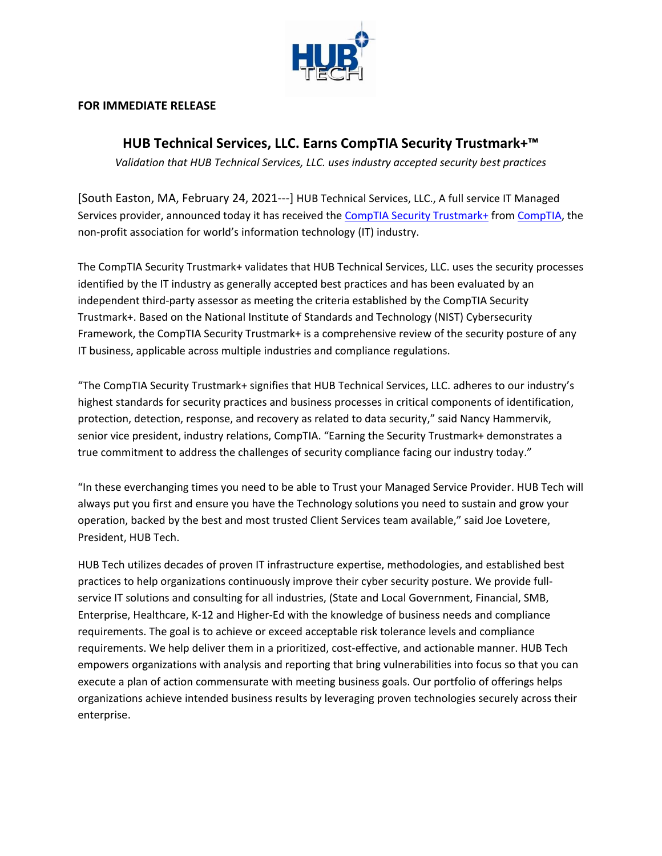

## **FOR IMMEDIATE RELEASE**

## **HUB Technical Services, LLC. Earns CompTIA Security Trustmark+™**

*Validation that HUB Technical Services, LLC. uses industry accepted security best practices*

[South Easton, MA, February 24, 2021---] HUB Technical Services, LLC., A full service IT Managed Services provider, announced today it has received the [CompTIA Security Trustmark+](http://www.comptia.org/trustmarks/security-trustmark-plus) from [CompTIA,](http://www.comptia.org/home.aspx) the non-profit association for world's information technology (IT) industry.

The CompTIA Security Trustmark+ validates that HUB Technical Services, LLC. uses the security processes identified by the IT industry as generally accepted best practices and has been evaluated by an independent third-party assessor as meeting the criteria established by the CompTIA Security Trustmark+. Based on the National Institute of Standards and Technology (NIST) Cybersecurity Framework, the CompTIA Security Trustmark+ is a comprehensive review of the security posture of any IT business, applicable across multiple industries and compliance regulations.

"The CompTIA Security Trustmark+ signifies that HUB Technical Services, LLC. adheres to our industry's highest standards for security practices and business processes in critical components of identification, protection, detection, response, and recovery as related to data security," said Nancy Hammervik, senior vice president, industry relations, CompTIA. "Earning the Security Trustmark+ demonstrates a true commitment to address the challenges of security compliance facing our industry today."

"In these everchanging times you need to be able to Trust your Managed Service Provider. HUB Tech will always put you first and ensure you have the Technology solutions you need to sustain and grow your operation, backed by the best and most trusted Client Services team available," said Joe Lovetere, President, HUB Tech.

HUB Tech utilizes decades of proven IT infrastructure expertise, methodologies, and established best practices to help organizations continuously improve their cyber security posture. We provide fullservice IT solutions and consulting for all industries, (State and Local Government, Financial, SMB, Enterprise, Healthcare, K-12 and Higher-Ed with the knowledge of business needs and compliance requirements. The goal is to achieve or exceed acceptable risk tolerance levels and compliance requirements. We help deliver them in a prioritized, cost-effective, and actionable manner. HUB Tech empowers organizations with analysis and reporting that bring vulnerabilities into focus so that you can execute a plan of action commensurate with meeting business goals. Our portfolio of offerings helps organizations achieve intended business results by leveraging proven technologies securely across their enterprise.